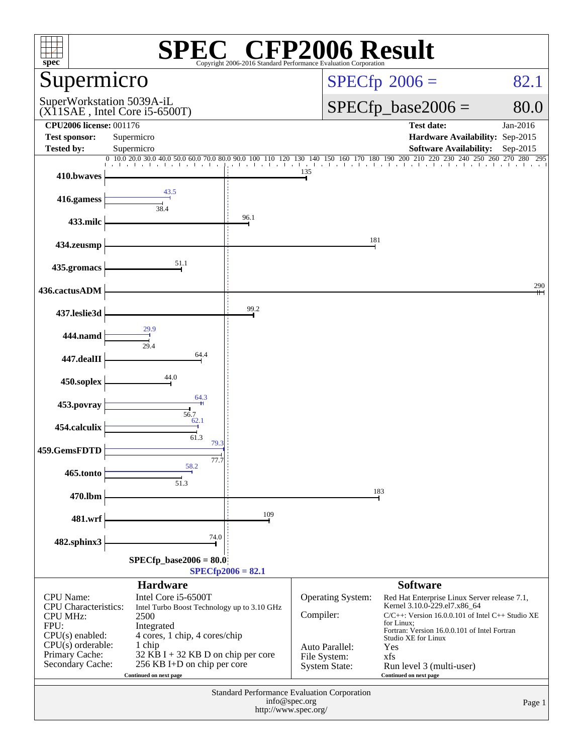| $spec^*$                                                                       |                                                                                                                                        | Copyright 2006-2016 Standard Performance Ev | $\mathbb{C}^{\circ}$ CFP2006 Result                                                  |                                                                                                                                                     |                    |
|--------------------------------------------------------------------------------|----------------------------------------------------------------------------------------------------------------------------------------|---------------------------------------------|--------------------------------------------------------------------------------------|-----------------------------------------------------------------------------------------------------------------------------------------------------|--------------------|
| Supermicro                                                                     |                                                                                                                                        |                                             |                                                                                      | $SPECfp^{\circ}2006 =$                                                                                                                              | 82.1               |
|                                                                                | SuperWorkstation 5039A-iL<br>$(X11SAE$ , Intel Core i5-6500T)                                                                          |                                             |                                                                                      | $SPECfp\_base2006 =$                                                                                                                                | 80.0               |
| <b>CPU2006 license: 001176</b>                                                 |                                                                                                                                        |                                             |                                                                                      | <b>Test date:</b>                                                                                                                                   | Jan-2016           |
| <b>Test sponsor:</b><br><b>Tested by:</b>                                      | Supermicro<br>Supermicro                                                                                                               |                                             |                                                                                      | Hardware Availability: Sep-2015<br><b>Software Availability:</b>                                                                                    | Sep-2015           |
|                                                                                | $0\  \, 10.0\  \, 20.0\  \, 30.0\  \, 40.0\  \, 50.0\  \, 60.0\  \, 70.0\  \, 80.0\  \, 90.0\  \, 100$                                 |                                             | 150 160 170 180 190<br>110 120 130 140                                               | 200 210<br>220<br>230 240 250                                                                                                                       | 260 270<br>280 295 |
| 410.bwaves                                                                     |                                                                                                                                        |                                             | 135                                                                                  |                                                                                                                                                     |                    |
| 416.gamess                                                                     | 43.5<br>38.4                                                                                                                           |                                             |                                                                                      |                                                                                                                                                     |                    |
| 433.milc                                                                       |                                                                                                                                        | 96.1                                        |                                                                                      |                                                                                                                                                     |                    |
| 434.zeusmp                                                                     |                                                                                                                                        |                                             | 181                                                                                  |                                                                                                                                                     |                    |
| 435.gromacs                                                                    | 51.1                                                                                                                                   |                                             |                                                                                      |                                                                                                                                                     |                    |
| 436.cactusADM                                                                  |                                                                                                                                        |                                             |                                                                                      |                                                                                                                                                     | 290                |
| 437.leslie3d                                                                   |                                                                                                                                        | 99.2                                        |                                                                                      |                                                                                                                                                     |                    |
| 444.namd                                                                       | 29.9                                                                                                                                   |                                             |                                                                                      |                                                                                                                                                     |                    |
| 447.dealII                                                                     | 29.4<br>64.4                                                                                                                           |                                             |                                                                                      |                                                                                                                                                     |                    |
| 450.soplex                                                                     | 44.0                                                                                                                                   |                                             |                                                                                      |                                                                                                                                                     |                    |
| 453.povray                                                                     | 64.3                                                                                                                                   |                                             |                                                                                      |                                                                                                                                                     |                    |
| 454.calculix                                                                   | 56.7<br>62.1<br>61.3                                                                                                                   |                                             |                                                                                      |                                                                                                                                                     |                    |
| 459.GemsFDTD                                                                   | 79.3                                                                                                                                   |                                             |                                                                                      |                                                                                                                                                     |                    |
| 465.tonto                                                                      | 77.7<br>58.2<br>51.3                                                                                                                   |                                             |                                                                                      |                                                                                                                                                     |                    |
| 470.lbm                                                                        |                                                                                                                                        |                                             |                                                                                      | 183                                                                                                                                                 |                    |
| 481.wrf                                                                        |                                                                                                                                        | 109                                         |                                                                                      |                                                                                                                                                     |                    |
| 482.sphinx3                                                                    | 74.0                                                                                                                                   |                                             |                                                                                      |                                                                                                                                                     |                    |
|                                                                                | $SPECfp\_base2006 = 80.0$                                                                                                              | $SPECfp2006 = 82.1$                         |                                                                                      |                                                                                                                                                     |                    |
|                                                                                | <b>Hardware</b>                                                                                                                        |                                             |                                                                                      | <b>Software</b>                                                                                                                                     |                    |
| CPU Name:<br><b>CPU</b> Characteristics:<br><b>CPU MHz:</b><br>FPU:            | Intel Core i5-6500T<br>Intel Turbo Boost Technology up to 3.10 GHz<br>2500<br>Integrated                                               |                                             | Operating System:<br>Compiler:                                                       | Red Hat Enterprise Linux Server release 7.1,<br>Kernel 3.10.0-229.el7.x86_64<br>$C/C++$ : Version 16.0.0.101 of Intel $C++$ Studio XE<br>for Linux; |                    |
| $CPU(s)$ enabled:<br>$CPU(s)$ orderable:<br>Primary Cache:<br>Secondary Cache: | 4 cores, 1 chip, 4 cores/chip<br>1 chip<br>32 KB I + 32 KB D on chip per core<br>256 KB I+D on chip per core<br>Continued on next page |                                             | Auto Parallel:<br>File System:<br><b>System State:</b>                               | Fortran: Version 16.0.0.101 of Intel Fortran<br>Studio XE for Linux<br>Yes<br>xfs<br>Run level 3 (multi-user)<br>Continued on next page             |                    |
|                                                                                |                                                                                                                                        |                                             | Standard Performance Evaluation Corporation<br>info@spec.org<br>http://www.spec.org/ |                                                                                                                                                     | Page 1             |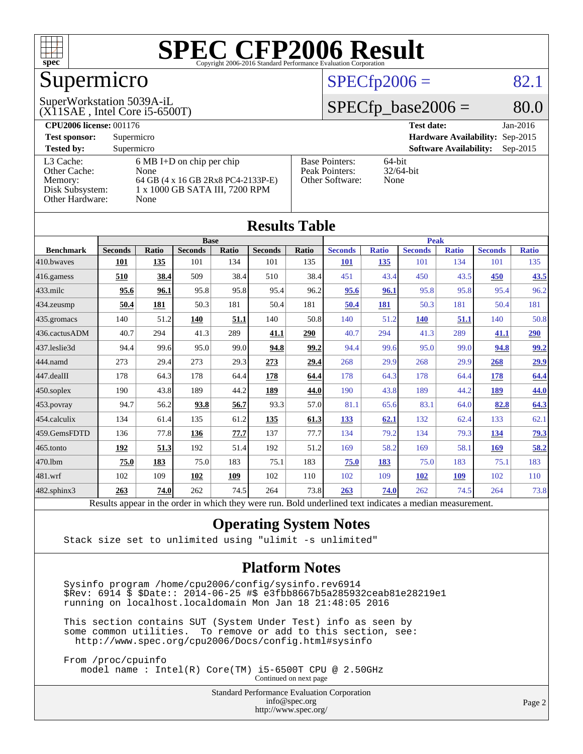

# Supermicro

(X11SAE , Intel Core i5-6500T)

### SuperWorkstation 5039A-iL

 $SPECTp2006 = 82.1$ 

### $SPECfp\_base2006 = 80.0$

| <b>CPU2006 license: 001176</b> |                                     |                       | <b>Test date:</b><br>$Jan-2016$             |
|--------------------------------|-------------------------------------|-----------------------|---------------------------------------------|
| <b>Test sponsor:</b>           | Supermicro                          |                       | Hardware Availability: Sep-2015             |
| <b>Tested by:</b>              | Supermicro                          |                       | <b>Software Availability:</b><br>$Sep-2015$ |
| L3 Cache:                      | $6 \text{ MB I+D}$ on chip per chip | <b>Base Pointers:</b> | $64$ -bit                                   |
| Other Cache:                   | None                                | Peak Pointers:        | $32/64$ -bit                                |
| Memory:                        | 64 GB (4 x 16 GB 2Rx8 PC4-2133P-E)  | Other Software:       | None                                        |
| Disk Subsystem:                | 1 x 1000 GB SATA III, 7200 RPM      |                       |                                             |
| Other Hardware:                | None                                |                       |                                             |

**[Results Table](http://www.spec.org/auto/cpu2006/Docs/result-fields.html#ResultsTable)**

|                  |                                                                                                          |              |                |       | Results Tadie  |             |                |              |                |              |                |              |
|------------------|----------------------------------------------------------------------------------------------------------|--------------|----------------|-------|----------------|-------------|----------------|--------------|----------------|--------------|----------------|--------------|
|                  | <b>Base</b>                                                                                              |              |                |       |                | <b>Peak</b> |                |              |                |              |                |              |
| <b>Benchmark</b> | <b>Seconds</b>                                                                                           | <b>Ratio</b> | <b>Seconds</b> | Ratio | <b>Seconds</b> | Ratio       | <b>Seconds</b> | <b>Ratio</b> | <b>Seconds</b> | <b>Ratio</b> | <b>Seconds</b> | <b>Ratio</b> |
| 410.bwayes       | 101                                                                                                      | 135          | 101            | 134   | 101            | 135         | <b>101</b>     | 135          | 101            | 134          | 101            | 135          |
| 416.gamess       | 510                                                                                                      | 38.4         | 509            | 38.4  | 510            | 38.4        | 451            | 43.4         | 450            | 43.5         | 450            | 43.5         |
| $433$ .milc      | 95.6                                                                                                     | 96.1         | 95.8           | 95.8  | 95.4           | 96.2        | 95.6           | 96.1         | 95.8           | 95.8         | 95.4           | 96.2         |
| 434.zeusmp       | 50.4                                                                                                     | 181          | 50.3           | 181   | 50.4           | 181         | 50.4           | 181          | 50.3           | 181          | 50.4           | 181          |
| 435.gromacs      | 140                                                                                                      | 51.2         | 140            | 51.1  | 140            | 50.8        | 140            | 51.2         | <b>140</b>     | 51.1         | 140            | 50.8         |
| 436.cactusADM    | 40.7                                                                                                     | 294          | 41.3           | 289   | 41.1           | 290         | 40.7           | 294          | 41.3           | 289          | 41.1           | 290          |
| 437.leslie3d     | 94.4                                                                                                     | 99.6         | 95.0           | 99.0  | 94.8           | 99.2        | 94.4           | 99.6         | 95.0           | 99.0         | 94.8           | 99.2         |
| 444.namd         | 273                                                                                                      | 29.4         | 273            | 29.3  | 273            | 29.4        | 268            | 29.9         | 268            | 29.9         | 268            | <u>29.9</u>  |
| 447.dealII       | 178                                                                                                      | 64.3         | 178            | 64.4  | 178            | 64.4        | 178            | 64.3         | 178            | 64.4         | <b>178</b>     | 64.4         |
| 450.soplex       | 190                                                                                                      | 43.8         | 189            | 44.2  | 189            | 44.0        | 190            | 43.8         | 189            | 44.2         | 189            | 44.0         |
| 453.povray       | 94.7                                                                                                     | 56.2         | 93.8           | 56.7  | 93.3           | 57.0        | 81.1           | 65.6         | 83.1           | 64.0         | 82.8           | 64.3         |
| 454.calculix     | 134                                                                                                      | 61.4         | 135            | 61.2  | 135            | 61.3        | 133            | 62.1         | 132            | 62.4         | 133            | 62.1         |
| 459.GemsFDTD     | 136                                                                                                      | 77.8         | 136            | 77.7  | 137            | 77.7        | 134            | 79.2         | 134            | 79.3         | 134            | <u>79.3</u>  |
| 465.tonto        | 192                                                                                                      | 51.3         | 192            | 51.4  | 192            | 51.2        | 169            | 58.2         | 169            | 58.1         | 169            | 58.2         |
| 470.1bm          | 75.0                                                                                                     | 183          | 75.0           | 183   | 75.1           | 183         | 75.0           | 183          | 75.0           | 183          | 75.1           | 183          |
| 481.wrf          | 102                                                                                                      | 109          | 102            | 109   | 102            | 110         | 102            | 109          | 102            | 109          | 102            | 110          |
| 482.sphinx3      | 263                                                                                                      | 74.0         | 262            | 74.5  | 264            | 73.8        | 263            | 74.0         | 262            | 74.5         | 264            | 73.8         |
|                  | Results appear in the order in which they were run. Bold underlined text indicates a median measurement. |              |                |       |                |             |                |              |                |              |                |              |

### **[Operating System Notes](http://www.spec.org/auto/cpu2006/Docs/result-fields.html#OperatingSystemNotes)**

Stack size set to unlimited using "ulimit -s unlimited"

### **[Platform Notes](http://www.spec.org/auto/cpu2006/Docs/result-fields.html#PlatformNotes)**

 Sysinfo program /home/cpu2006/config/sysinfo.rev6914 \$Rev: 6914 \$ \$Date:: 2014-06-25 #\$ e3fbb8667b5a285932ceab81e28219e1 running on localhost.localdomain Mon Jan 18 21:48:05 2016

 This section contains SUT (System Under Test) info as seen by some common utilities. To remove or add to this section, see: <http://www.spec.org/cpu2006/Docs/config.html#sysinfo>

 From /proc/cpuinfo model name : Intel(R) Core(TM) i5-6500T CPU @ 2.50GHz Continued on next page

> Standard Performance Evaluation Corporation [info@spec.org](mailto:info@spec.org) <http://www.spec.org/>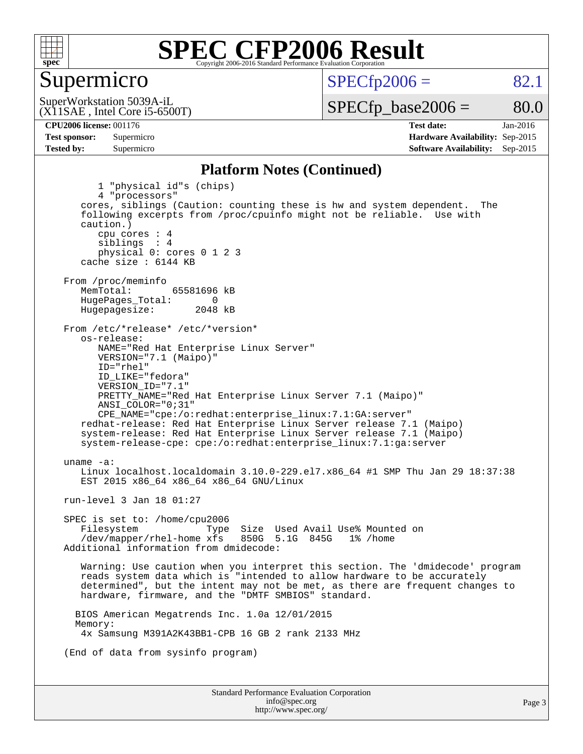

### Supermicro

 $SPECTp2006 = 82.1$ 

(X11SAE , Intel Core i5-6500T) SuperWorkstation 5039A-iL

 $SPECTp\_base2006 = 80.0$ 

**[CPU2006 license:](http://www.spec.org/auto/cpu2006/Docs/result-fields.html#CPU2006license)** 001176 **[Test date:](http://www.spec.org/auto/cpu2006/Docs/result-fields.html#Testdate)** Jan-2016 **[Test sponsor:](http://www.spec.org/auto/cpu2006/Docs/result-fields.html#Testsponsor)** Supermicro **[Hardware Availability:](http://www.spec.org/auto/cpu2006/Docs/result-fields.html#HardwareAvailability)** Sep-2015 **[Tested by:](http://www.spec.org/auto/cpu2006/Docs/result-fields.html#Testedby)** Supermicro **Supermicro [Software Availability:](http://www.spec.org/auto/cpu2006/Docs/result-fields.html#SoftwareAvailability)** Sep-2015

### **[Platform Notes \(Continued\)](http://www.spec.org/auto/cpu2006/Docs/result-fields.html#PlatformNotes)**

Standard Performance Evaluation Corporation [info@spec.org](mailto:info@spec.org) 1 "physical id"s (chips) 4 "processors" cores, siblings (Caution: counting these is hw and system dependent. The following excerpts from /proc/cpuinfo might not be reliable. Use with caution.) cpu cores : 4 siblings : 4 physical 0: cores 0 1 2 3 cache size : 6144 KB From /proc/meminfo<br>MemTotal: 65581696 kB HugePages\_Total: 0<br>Hugepagesize: 2048 kB Hugepagesize: From /etc/\*release\* /etc/\*version\* os-release: NAME="Red Hat Enterprise Linux Server" VERSION="7.1 (Maipo)" ID="rhel" ID\_LIKE="fedora" VERSION\_ID="7.1" PRETTY\_NAME="Red Hat Enterprise Linux Server 7.1 (Maipo)" ANSI\_COLOR="0;31" CPE\_NAME="cpe:/o:redhat:enterprise\_linux:7.1:GA:server" redhat-release: Red Hat Enterprise Linux Server release 7.1 (Maipo) system-release: Red Hat Enterprise Linux Server release 7.1 (Maipo) system-release-cpe: cpe:/o:redhat:enterprise\_linux:7.1:ga:server uname -a: Linux localhost.localdomain 3.10.0-229.el7.x86\_64 #1 SMP Thu Jan 29 18:37:38 EST 2015 x86\_64 x86\_64 x86\_64 GNU/Linux run-level 3 Jan 18 01:27 SPEC is set to: /home/cpu2006 Filesystem Type Size Used Avail Use% Mounted on<br>
/dev/mapper/rhel-home xfs 850G 5.1G 845G 1% /home  $/$ dev/mapper/rhel-home  $xfs$  Additional information from dmidecode: Warning: Use caution when you interpret this section. The 'dmidecode' program reads system data which is "intended to allow hardware to be accurately determined", but the intent may not be met, as there are frequent changes to hardware, firmware, and the "DMTF SMBIOS" standard. BIOS American Megatrends Inc. 1.0a 12/01/2015 Memory: 4x Samsung M391A2K43BB1-CPB 16 GB 2 rank 2133 MHz (End of data from sysinfo program)

<http://www.spec.org/>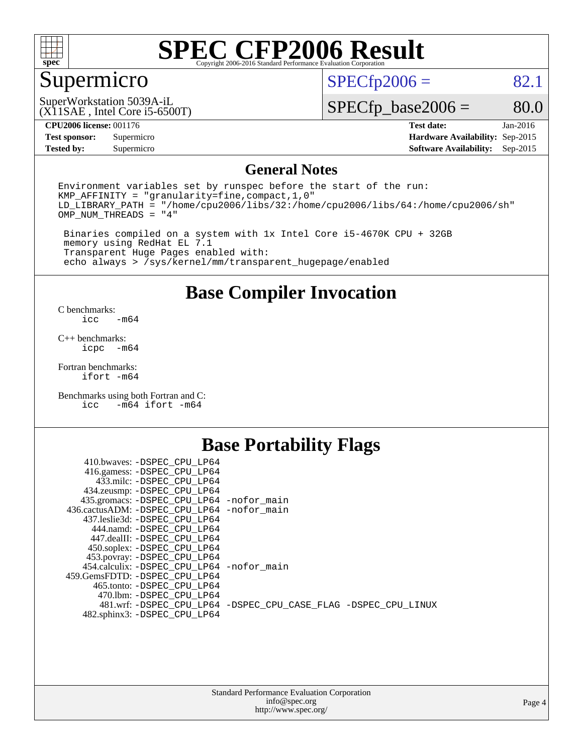

## Supermicro

 $SPECTp2006 = 82.1$ 

(X11SAE , Intel Core i5-6500T) SuperWorkstation 5039A-iL

 $SPECfp\_base2006 = 80.0$ 

### **[CPU2006 license:](http://www.spec.org/auto/cpu2006/Docs/result-fields.html#CPU2006license)** 001176 **[Test date:](http://www.spec.org/auto/cpu2006/Docs/result-fields.html#Testdate)** Jan-2016

**[Tested by:](http://www.spec.org/auto/cpu2006/Docs/result-fields.html#Testedby)** Supermicro **Supermicro [Software Availability:](http://www.spec.org/auto/cpu2006/Docs/result-fields.html#SoftwareAvailability)** Sep-2015

**[Test sponsor:](http://www.spec.org/auto/cpu2006/Docs/result-fields.html#Testsponsor)** Supermicro **[Hardware Availability:](http://www.spec.org/auto/cpu2006/Docs/result-fields.html#HardwareAvailability)** Sep-2015

### **[General Notes](http://www.spec.org/auto/cpu2006/Docs/result-fields.html#GeneralNotes)**

Environment variables set by runspec before the start of the run: KMP\_AFFINITY = "granularity=fine,compact,1,0" LD\_LIBRARY\_PATH = "/home/cpu2006/libs/32:/home/cpu2006/libs/64:/home/cpu2006/sh" OMP\_NUM\_THREADS = "4"

 Binaries compiled on a system with 1x Intel Core i5-4670K CPU + 32GB memory using RedHat EL 7.1 Transparent Huge Pages enabled with: echo always > /sys/kernel/mm/transparent\_hugepage/enabled

### **[Base Compiler Invocation](http://www.spec.org/auto/cpu2006/Docs/result-fields.html#BaseCompilerInvocation)**

[C benchmarks](http://www.spec.org/auto/cpu2006/Docs/result-fields.html#Cbenchmarks):  $-m64$ 

[C++ benchmarks:](http://www.spec.org/auto/cpu2006/Docs/result-fields.html#CXXbenchmarks) [icpc -m64](http://www.spec.org/cpu2006/results/res2016q1/cpu2006-20160120-38747.flags.html#user_CXXbase_intel_icpc_64bit_bedb90c1146cab66620883ef4f41a67e)

[Fortran benchmarks](http://www.spec.org/auto/cpu2006/Docs/result-fields.html#Fortranbenchmarks): [ifort -m64](http://www.spec.org/cpu2006/results/res2016q1/cpu2006-20160120-38747.flags.html#user_FCbase_intel_ifort_64bit_ee9d0fb25645d0210d97eb0527dcc06e)

[Benchmarks using both Fortran and C](http://www.spec.org/auto/cpu2006/Docs/result-fields.html#BenchmarksusingbothFortranandC): [icc -m64](http://www.spec.org/cpu2006/results/res2016q1/cpu2006-20160120-38747.flags.html#user_CC_FCbase_intel_icc_64bit_0b7121f5ab7cfabee23d88897260401c) [ifort -m64](http://www.spec.org/cpu2006/results/res2016q1/cpu2006-20160120-38747.flags.html#user_CC_FCbase_intel_ifort_64bit_ee9d0fb25645d0210d97eb0527dcc06e)

### **[Base Portability Flags](http://www.spec.org/auto/cpu2006/Docs/result-fields.html#BasePortabilityFlags)**

| 410.bwaves: -DSPEC CPU LP64                 |                                                                |
|---------------------------------------------|----------------------------------------------------------------|
| 416.gamess: -DSPEC_CPU_LP64                 |                                                                |
| 433.milc: -DSPEC CPU LP64                   |                                                                |
| 434.zeusmp: -DSPEC_CPU_LP64                 |                                                                |
| 435.gromacs: -DSPEC_CPU_LP64 -nofor_main    |                                                                |
| 436.cactusADM: -DSPEC CPU LP64 -nofor main  |                                                                |
| 437.leslie3d: -DSPEC CPU LP64               |                                                                |
| 444.namd: -DSPEC CPU LP64                   |                                                                |
| 447.dealII: -DSPEC CPU LP64                 |                                                                |
| 450.soplex: -DSPEC_CPU_LP64                 |                                                                |
| 453.povray: -DSPEC_CPU_LP64                 |                                                                |
| 454.calculix: - DSPEC CPU LP64 - nofor main |                                                                |
| 459. GemsFDTD: - DSPEC CPU LP64             |                                                                |
| 465.tonto: - DSPEC CPU LP64                 |                                                                |
| 470.1bm: - DSPEC CPU LP64                   |                                                                |
|                                             | 481.wrf: -DSPEC_CPU_LP64 -DSPEC_CPU_CASE_FLAG -DSPEC_CPU_LINUX |
| 482.sphinx3: -DSPEC_CPU_LP64                |                                                                |
|                                             |                                                                |

| <b>Standard Performance Evaluation Corporation</b> |
|----------------------------------------------------|
| info@spec.org                                      |
| http://www.spec.org/                               |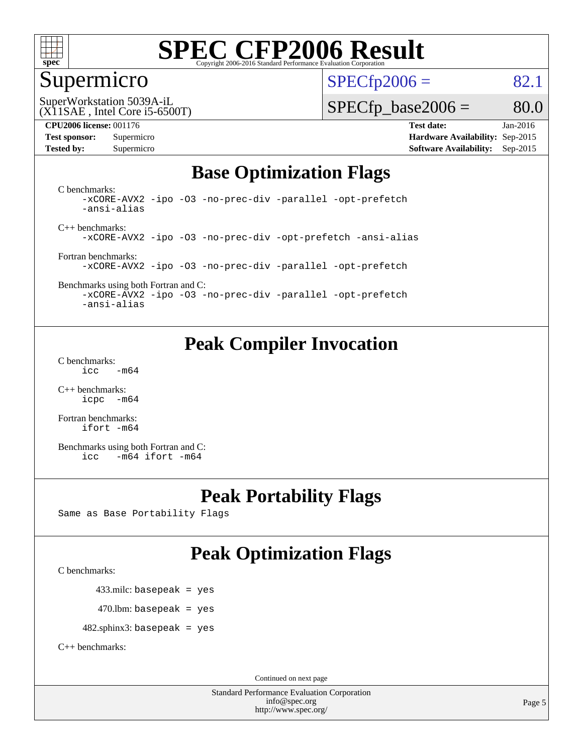

### Supermicro

 $SPECTp2006 = 82.1$ 

(X11SAE , Intel Core i5-6500T) SuperWorkstation 5039A-iL

 $SPECTp\_base2006 = 80.0$ 

**[CPU2006 license:](http://www.spec.org/auto/cpu2006/Docs/result-fields.html#CPU2006license)** 001176 **[Test date:](http://www.spec.org/auto/cpu2006/Docs/result-fields.html#Testdate)** Jan-2016 **[Test sponsor:](http://www.spec.org/auto/cpu2006/Docs/result-fields.html#Testsponsor)** Supermicro **[Hardware Availability:](http://www.spec.org/auto/cpu2006/Docs/result-fields.html#HardwareAvailability)** Sep-2015 **[Tested by:](http://www.spec.org/auto/cpu2006/Docs/result-fields.html#Testedby)** Supermicro **Supermicro [Software Availability:](http://www.spec.org/auto/cpu2006/Docs/result-fields.html#SoftwareAvailability)** Sep-2015

### **[Base Optimization Flags](http://www.spec.org/auto/cpu2006/Docs/result-fields.html#BaseOptimizationFlags)**

[C benchmarks](http://www.spec.org/auto/cpu2006/Docs/result-fields.html#Cbenchmarks): [-xCORE-AVX2](http://www.spec.org/cpu2006/results/res2016q1/cpu2006-20160120-38747.flags.html#user_CCbase_f-xAVX2_5f5fc0cbe2c9f62c816d3e45806c70d7) [-ipo](http://www.spec.org/cpu2006/results/res2016q1/cpu2006-20160120-38747.flags.html#user_CCbase_f-ipo) [-O3](http://www.spec.org/cpu2006/results/res2016q1/cpu2006-20160120-38747.flags.html#user_CCbase_f-O3) [-no-prec-div](http://www.spec.org/cpu2006/results/res2016q1/cpu2006-20160120-38747.flags.html#user_CCbase_f-no-prec-div) [-parallel](http://www.spec.org/cpu2006/results/res2016q1/cpu2006-20160120-38747.flags.html#user_CCbase_f-parallel) [-opt-prefetch](http://www.spec.org/cpu2006/results/res2016q1/cpu2006-20160120-38747.flags.html#user_CCbase_f-opt-prefetch) [-ansi-alias](http://www.spec.org/cpu2006/results/res2016q1/cpu2006-20160120-38747.flags.html#user_CCbase_f-ansi-alias)

[C++ benchmarks:](http://www.spec.org/auto/cpu2006/Docs/result-fields.html#CXXbenchmarks) [-xCORE-AVX2](http://www.spec.org/cpu2006/results/res2016q1/cpu2006-20160120-38747.flags.html#user_CXXbase_f-xAVX2_5f5fc0cbe2c9f62c816d3e45806c70d7) [-ipo](http://www.spec.org/cpu2006/results/res2016q1/cpu2006-20160120-38747.flags.html#user_CXXbase_f-ipo) [-O3](http://www.spec.org/cpu2006/results/res2016q1/cpu2006-20160120-38747.flags.html#user_CXXbase_f-O3) [-no-prec-div](http://www.spec.org/cpu2006/results/res2016q1/cpu2006-20160120-38747.flags.html#user_CXXbase_f-no-prec-div) [-opt-prefetch](http://www.spec.org/cpu2006/results/res2016q1/cpu2006-20160120-38747.flags.html#user_CXXbase_f-opt-prefetch) [-ansi-alias](http://www.spec.org/cpu2006/results/res2016q1/cpu2006-20160120-38747.flags.html#user_CXXbase_f-ansi-alias)

[Fortran benchmarks](http://www.spec.org/auto/cpu2006/Docs/result-fields.html#Fortranbenchmarks): [-xCORE-AVX2](http://www.spec.org/cpu2006/results/res2016q1/cpu2006-20160120-38747.flags.html#user_FCbase_f-xAVX2_5f5fc0cbe2c9f62c816d3e45806c70d7) [-ipo](http://www.spec.org/cpu2006/results/res2016q1/cpu2006-20160120-38747.flags.html#user_FCbase_f-ipo) [-O3](http://www.spec.org/cpu2006/results/res2016q1/cpu2006-20160120-38747.flags.html#user_FCbase_f-O3) [-no-prec-div](http://www.spec.org/cpu2006/results/res2016q1/cpu2006-20160120-38747.flags.html#user_FCbase_f-no-prec-div) [-parallel](http://www.spec.org/cpu2006/results/res2016q1/cpu2006-20160120-38747.flags.html#user_FCbase_f-parallel) [-opt-prefetch](http://www.spec.org/cpu2006/results/res2016q1/cpu2006-20160120-38747.flags.html#user_FCbase_f-opt-prefetch)

[Benchmarks using both Fortran and C](http://www.spec.org/auto/cpu2006/Docs/result-fields.html#BenchmarksusingbothFortranandC): [-xCORE-AVX2](http://www.spec.org/cpu2006/results/res2016q1/cpu2006-20160120-38747.flags.html#user_CC_FCbase_f-xAVX2_5f5fc0cbe2c9f62c816d3e45806c70d7) [-ipo](http://www.spec.org/cpu2006/results/res2016q1/cpu2006-20160120-38747.flags.html#user_CC_FCbase_f-ipo) [-O3](http://www.spec.org/cpu2006/results/res2016q1/cpu2006-20160120-38747.flags.html#user_CC_FCbase_f-O3) [-no-prec-div](http://www.spec.org/cpu2006/results/res2016q1/cpu2006-20160120-38747.flags.html#user_CC_FCbase_f-no-prec-div) [-parallel](http://www.spec.org/cpu2006/results/res2016q1/cpu2006-20160120-38747.flags.html#user_CC_FCbase_f-parallel) [-opt-prefetch](http://www.spec.org/cpu2006/results/res2016q1/cpu2006-20160120-38747.flags.html#user_CC_FCbase_f-opt-prefetch)

[-ansi-alias](http://www.spec.org/cpu2006/results/res2016q1/cpu2006-20160120-38747.flags.html#user_CC_FCbase_f-ansi-alias)

## **[Peak Compiler Invocation](http://www.spec.org/auto/cpu2006/Docs/result-fields.html#PeakCompilerInvocation)**

[C benchmarks](http://www.spec.org/auto/cpu2006/Docs/result-fields.html#Cbenchmarks):  $\text{icc}$   $-\text{m64}$ 

[C++ benchmarks:](http://www.spec.org/auto/cpu2006/Docs/result-fields.html#CXXbenchmarks) [icpc -m64](http://www.spec.org/cpu2006/results/res2016q1/cpu2006-20160120-38747.flags.html#user_CXXpeak_intel_icpc_64bit_bedb90c1146cab66620883ef4f41a67e)

[Fortran benchmarks](http://www.spec.org/auto/cpu2006/Docs/result-fields.html#Fortranbenchmarks): [ifort -m64](http://www.spec.org/cpu2006/results/res2016q1/cpu2006-20160120-38747.flags.html#user_FCpeak_intel_ifort_64bit_ee9d0fb25645d0210d97eb0527dcc06e)

[Benchmarks using both Fortran and C](http://www.spec.org/auto/cpu2006/Docs/result-fields.html#BenchmarksusingbothFortranandC): [icc -m64](http://www.spec.org/cpu2006/results/res2016q1/cpu2006-20160120-38747.flags.html#user_CC_FCpeak_intel_icc_64bit_0b7121f5ab7cfabee23d88897260401c) [ifort -m64](http://www.spec.org/cpu2006/results/res2016q1/cpu2006-20160120-38747.flags.html#user_CC_FCpeak_intel_ifort_64bit_ee9d0fb25645d0210d97eb0527dcc06e)

## **[Peak Portability Flags](http://www.spec.org/auto/cpu2006/Docs/result-fields.html#PeakPortabilityFlags)**

Same as Base Portability Flags

## **[Peak Optimization Flags](http://www.spec.org/auto/cpu2006/Docs/result-fields.html#PeakOptimizationFlags)**

[C benchmarks](http://www.spec.org/auto/cpu2006/Docs/result-fields.html#Cbenchmarks):

433.milc: basepeak = yes

 $470.$ lbm: basepeak = yes

482.sphinx3: basepeak = yes

[C++ benchmarks:](http://www.spec.org/auto/cpu2006/Docs/result-fields.html#CXXbenchmarks)

Continued on next page

Standard Performance Evaluation Corporation [info@spec.org](mailto:info@spec.org) <http://www.spec.org/>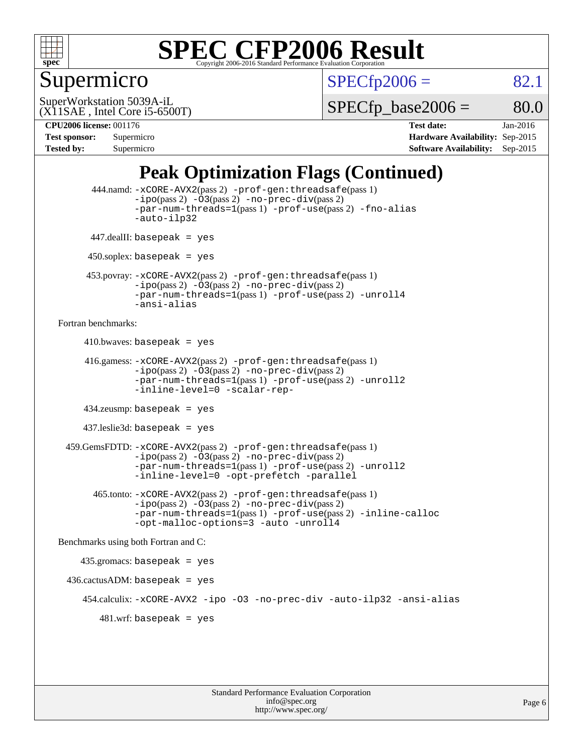

## Supermicro

 $SPECTp2006 = 82.1$ 

(X11SAE , Intel Core i5-6500T) SuperWorkstation 5039A-iL

 $SPECTp\_base2006 = 80.0$ 

**[CPU2006 license:](http://www.spec.org/auto/cpu2006/Docs/result-fields.html#CPU2006license)** 001176 **[Test date:](http://www.spec.org/auto/cpu2006/Docs/result-fields.html#Testdate)** Jan-2016 **[Test sponsor:](http://www.spec.org/auto/cpu2006/Docs/result-fields.html#Testsponsor)** Supermicro **[Hardware Availability:](http://www.spec.org/auto/cpu2006/Docs/result-fields.html#HardwareAvailability)** Sep-2015 **[Tested by:](http://www.spec.org/auto/cpu2006/Docs/result-fields.html#Testedby)** Supermicro **Supermicro [Software Availability:](http://www.spec.org/auto/cpu2006/Docs/result-fields.html#SoftwareAvailability)** Sep-2015

## **[Peak Optimization Flags \(Continued\)](http://www.spec.org/auto/cpu2006/Docs/result-fields.html#PeakOptimizationFlags)**

```
 444.namd: -xCORE-AVX2(pass 2) -prof-gen:threadsafe(pass 1)
               -ipo(pass 2) -03(pass 2) -no-prec-div(pass 2)
               -par-num-threads=1(pass 1) -prof-use(pass 2) -fno-alias
               -auto-ilp32
      447.dealII: basepeak = yes
      450.soplex: basepeak = yes
      453.povray: -xCORE-AVX2(pass 2) -prof-gen:threadsafe(pass 1)
               -no-prec-div(pass 2)-par-num-threads=1(pass 1) -prof-use(pass 2) -unroll4
               -ansi-alias
Fortran benchmarks: 
     410.bwaves: basepeak = yes 416.gamess: -xCORE-AVX2(pass 2) -prof-gen:threadsafe(pass 1)
               -ipo(pass 2) -03(pass 2) -no-prec-div(pass 2)-par-num-threads=1(pass 1) -prof-use(pass 2) -unroll2
               -inline-level=0 -scalar-rep-
      434.zeusmp: basepeak = yes
     437.leslie3d: basepeak = yes
  459.GemsFDTD: -xCORE-AVX2(pass 2) -prof-gen:threadsafe(pass 1)
               -i\text{po}(pass 2) -\tilde{O}3(pass 2)-no-prec-div(pass 2)
               -par-num-threads=1(pass 1) -prof-use(pass 2) -unroll2
               -inline-level=0 -opt-prefetch -parallel
        465.tonto: -xCORE-AVX2(pass 2) -prof-gen:threadsafe(pass 1)
               -no-prec-div(pass 2)-par-num-threads=1(pass 1) -prof-use(pass 2) -inline-calloc
               -opt-malloc-options=3 -auto -unroll4
Benchmarks using both Fortran and C: 
     435.gromacs: basepeak = yes
 436.cactusADM:basepeak = yes 454.calculix: -xCORE-AVX2 -ipo -O3 -no-prec-div -auto-ilp32 -ansi-alias
        481.wrf: basepeak = yes
```